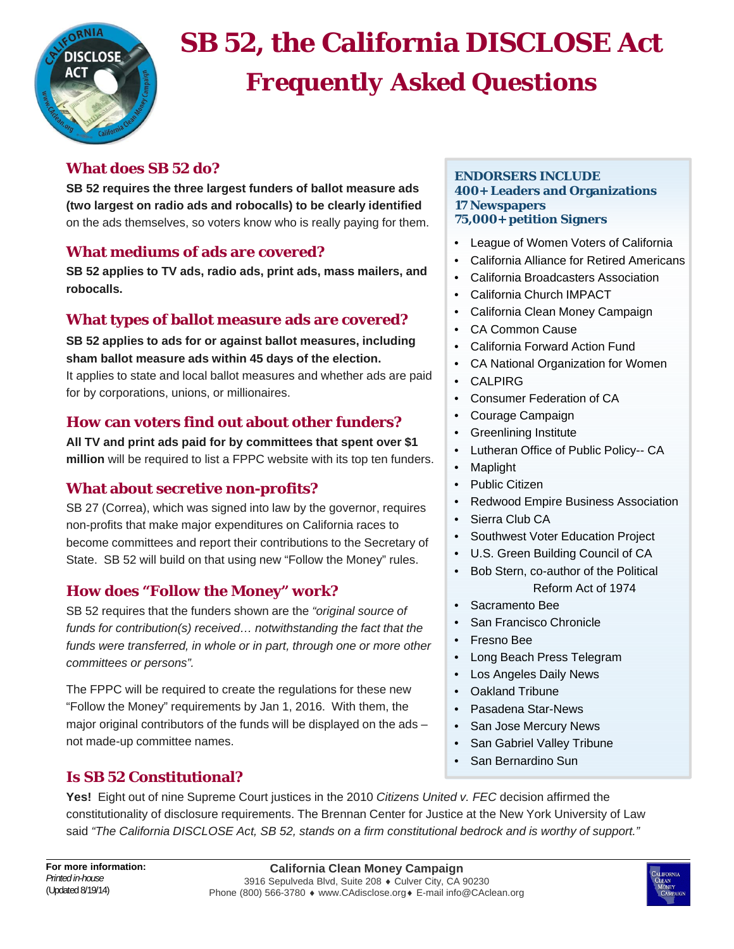

# **SB 52, the California DISCLOSE Act** *Frequently Asked Questions*

## **What does SB 52 do?**

**SB 52 requires the three largest funders of ballot measure ads (two largest on radio ads and robocalls) to be clearly identified**  on the ads themselves, so voters know who is really paying for them.

# **What mediums of ads are covered?**

**SB 52 applies to TV ads, radio ads, print ads, mass mailers, and robocalls.**

# **What types of ballot measure ads are covered?**

**SB 52 applies to ads for or against ballot measures, including sham ballot measure ads within 45 days of the election.** It applies to state and local ballot measures and whether ads are paid for by corporations, unions, or millionaires.

# **How can voters find out about other funders?**

**All TV and print ads paid for by committees that spent over \$1 million** will be required to list a FPPC website with its top ten funders.

# **What about secretive non-profits?**

SB 27 (Correa), which was signed into law by the governor, requires non-profits that make major expenditures on California races to become committees and report their contributions to the Secretary of State. SB 52 will build on that using new "Follow the Money" rules.

# **How does "Follow the Money" work?**

SB 52 requires that the funders shown are the *"original source of funds for contribution(s) received… notwithstanding the fact that the funds were transferred, in whole or in part, through one or more other committees or persons".*

The FPPC will be required to create the regulations for these new "Follow the Money" requirements by Jan 1, 2016. With them, the major original contributors of the funds will be displayed on the ads – not made-up committee names.

# **Is SB 52 Constitutional?**

## **ENDORSERS INCLUDE 400+ Leaders and Organizations 17 Newspapers 75,000+ petition Signers**

- League of Women Voters of California
- California Alliance for Retired Americans
- California Broadcasters Association
- California Church IMPACT
- California Clean Money Campaign
- CA Common Cause
- California Forward Action Fund
- CA National Organization for Women
- CALPIRG
- Consumer Federation of CA
- Courage Campaign
- Greenlining Institute
- Lutheran Office of Public Policy-- CA
- Maplight
- Public Citizen
- Redwood Empire Business Association
- Sierra Club CA
- Southwest Voter Education Project
- U.S. Green Building Council of CA
- Bob Stern, co-author of the Political Reform Act of 1974
- Sacramento Bee
- San Francisco Chronicle
- Fresno Bee
- Long Beach Press Telegram
- Los Angeles Daily News
- Oakland Tribune
- Pasadena Star-News
- San Jose Mercury News
- San Gabriel Valley Tribune
- San Bernardino Sun

**Yes!** Eight out of nine Supreme Court justices in the 2010 *Citizens United v. FEC* decision affirmed the constitutionality of disclosure requirements. The Brennan Center for Justice at the New York University of Law said *"The California DISCLOSE Act, SB 52, stands on a firm constitutional bedrock and is worthy of support."*